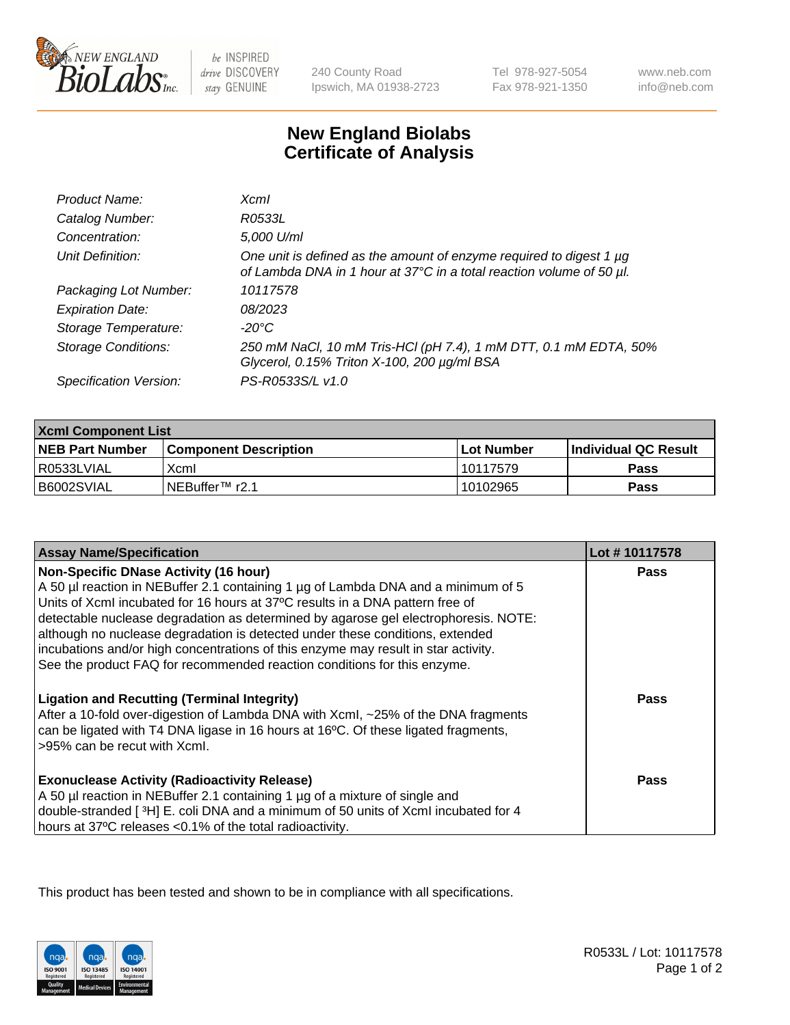

be INSPIRED drive DISCOVERY stay GENUINE

240 County Road Ipswich, MA 01938-2723 Tel 978-927-5054 Fax 978-921-1350

www.neb.com info@neb.com

## **New England Biolabs Certificate of Analysis**

| Product Name:              | <b>Xcml</b>                                                                                                                                 |
|----------------------------|---------------------------------------------------------------------------------------------------------------------------------------------|
| Catalog Number:            | R0533L                                                                                                                                      |
| Concentration:             | 5,000 U/ml                                                                                                                                  |
| Unit Definition:           | One unit is defined as the amount of enzyme required to digest 1 µg<br>of Lambda DNA in 1 hour at 37°C in a total reaction volume of 50 µl. |
| Packaging Lot Number:      | 10117578                                                                                                                                    |
| <b>Expiration Date:</b>    | 08/2023                                                                                                                                     |
| Storage Temperature:       | -20°C                                                                                                                                       |
| <b>Storage Conditions:</b> | 250 mM NaCl, 10 mM Tris-HCl (pH 7.4), 1 mM DTT, 0.1 mM EDTA, 50%<br>Glycerol, 0.15% Triton X-100, 200 µg/ml BSA                             |
| Specification Version:     | PS-R0533S/L v1.0                                                                                                                            |

| <b>Xcml Component List</b> |                              |              |                        |  |  |
|----------------------------|------------------------------|--------------|------------------------|--|--|
| <b>NEB Part Number</b>     | <b>Component Description</b> | l Lot Number | l Individual QC Result |  |  |
| R0533LVIAL                 | Xcml                         | 10117579     | Pass                   |  |  |
| B6002SVIAL                 | INEBuffer™ r2.1              | 10102965     | Pass                   |  |  |

| <b>Assay Name/Specification</b>                                                                                                                                                                                                                                                                                                                                                                                                                                                                                                                              | Lot #10117578 |
|--------------------------------------------------------------------------------------------------------------------------------------------------------------------------------------------------------------------------------------------------------------------------------------------------------------------------------------------------------------------------------------------------------------------------------------------------------------------------------------------------------------------------------------------------------------|---------------|
| <b>Non-Specific DNase Activity (16 hour)</b><br>A 50 µl reaction in NEBuffer 2.1 containing 1 µg of Lambda DNA and a minimum of 5<br>Units of XcmI incubated for 16 hours at 37°C results in a DNA pattern free of<br>detectable nuclease degradation as determined by agarose gel electrophoresis. NOTE:<br>although no nuclease degradation is detected under these conditions, extended<br>incubations and/or high concentrations of this enzyme may result in star activity.<br>See the product FAQ for recommended reaction conditions for this enzyme. | <b>Pass</b>   |
| <b>Ligation and Recutting (Terminal Integrity)</b><br>After a 10-fold over-digestion of Lambda DNA with Xcml, ~25% of the DNA fragments<br>can be ligated with T4 DNA ligase in 16 hours at 16°C. Of these ligated fragments,<br>>95% can be recut with Xcml.                                                                                                                                                                                                                                                                                                | Pass          |
| <b>Exonuclease Activity (Radioactivity Release)</b><br>A 50 µl reaction in NEBuffer 2.1 containing 1 µg of a mixture of single and<br>double-stranded [3H] E. coli DNA and a minimum of 50 units of Xcml incubated for 4<br>hours at 37°C releases <0.1% of the total radioactivity.                                                                                                                                                                                                                                                                         | Pass          |

This product has been tested and shown to be in compliance with all specifications.